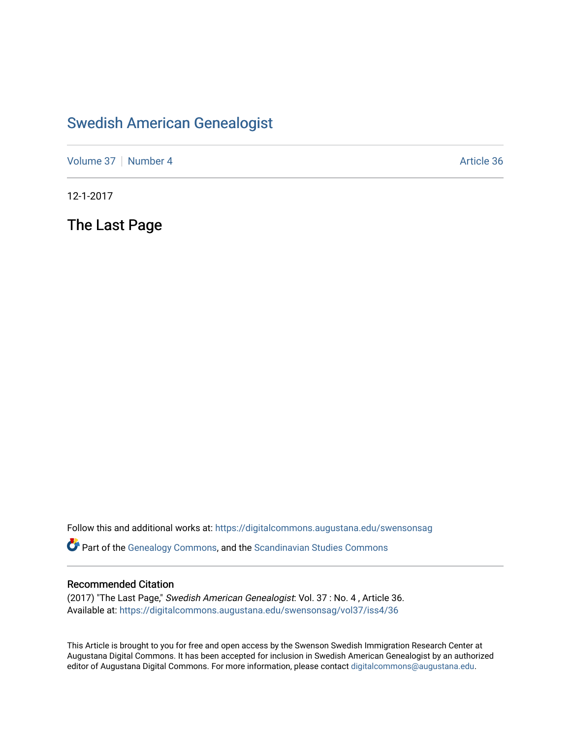## [Swedish American Genealogist](https://digitalcommons.augustana.edu/swensonsag)

[Volume 37](https://digitalcommons.augustana.edu/swensonsag/vol37) | [Number 4](https://digitalcommons.augustana.edu/swensonsag/vol37/iss4) Article 36

12-1-2017

The Last Page

Follow this and additional works at: [https://digitalcommons.augustana.edu/swensonsag](https://digitalcommons.augustana.edu/swensonsag?utm_source=digitalcommons.augustana.edu%2Fswensonsag%2Fvol37%2Fiss4%2F36&utm_medium=PDF&utm_campaign=PDFCoverPages) 

Part of the [Genealogy Commons,](http://network.bepress.com/hgg/discipline/1342?utm_source=digitalcommons.augustana.edu%2Fswensonsag%2Fvol37%2Fiss4%2F36&utm_medium=PDF&utm_campaign=PDFCoverPages) and the [Scandinavian Studies Commons](http://network.bepress.com/hgg/discipline/485?utm_source=digitalcommons.augustana.edu%2Fswensonsag%2Fvol37%2Fiss4%2F36&utm_medium=PDF&utm_campaign=PDFCoverPages)

#### Recommended Citation

(2017) "The Last Page," Swedish American Genealogist: Vol. 37 : No. 4 , Article 36. Available at: [https://digitalcommons.augustana.edu/swensonsag/vol37/iss4/36](https://digitalcommons.augustana.edu/swensonsag/vol37/iss4/36?utm_source=digitalcommons.augustana.edu%2Fswensonsag%2Fvol37%2Fiss4%2F36&utm_medium=PDF&utm_campaign=PDFCoverPages) 

This Article is brought to you for free and open access by the Swenson Swedish Immigration Research Center at Augustana Digital Commons. It has been accepted for inclusion in Swedish American Genealogist by an authorized editor of Augustana Digital Commons. For more information, please contact [digitalcommons@augustana.edu.](mailto:digitalcommons@augustana.edu)